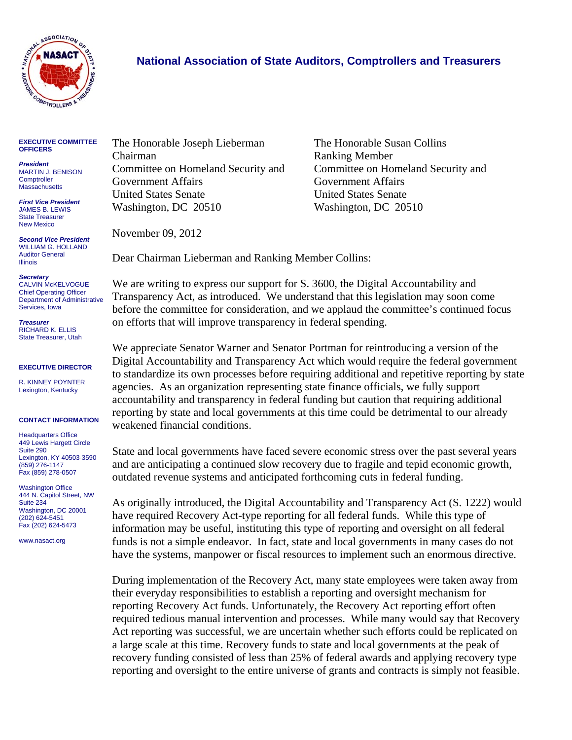

## **National Association of State Auditors, Comptrollers and Treasurers**

## **EXECUTIVE COMMITTEE OFFICERS**

*President*  MARTIN J. BENISON **Comptroller Massachusetts** 

*First Vice President*  JAMES B. LEWIS State Treasurer New Mexico

*Second Vice President*  WILLIAM G. HOLLAND Auditor General Illinois

*Secretary*  CALVIN McKELVOGUE Chief Operating Officer

Department of Administrative Services, Iowa *Treasurer* 

RICHARD K. ELLIS State Treasurer, Utah

## **EXECUTIVE DIRECTOR**

R. KINNEY POYNTER Lexington, Kentucky

## **CONTACT INFORMATION**

**Headquarters Office** 449 Lewis Hargett Circle Suite 290 Lexington, KY 40503-3590 (859) 276-1147 Fax (859) 278-0507

Washington Office 444 N. Capitol Street, NW Suite 234 Washington, DC 20001 (202) 624-5451 Fax (202) 624-5473

www.nasact.org

The Honorable Joseph Lieberman The Honorable Susan Collins Chairman Ranking Member Committee on Homeland Security and Committee on Homeland Security and Government Affairs Government Affairs United States Senate United States Senate Washington, DC 20510 Washington, DC 20510

November 09, 2012

Dear Chairman Lieberman and Ranking Member Collins:

We are writing to express our support for S. 3600, the Digital Accountability and Transparency Act, as introduced. We understand that this legislation may soon come before the committee for consideration, and we applaud the committee's continued focus on efforts that will improve transparency in federal spending.

We appreciate Senator Warner and Senator Portman for reintroducing a version of the Digital Accountability and Transparency Act which would require the federal government to standardize its own processes before requiring additional and repetitive reporting by state agencies. As an organization representing state finance officials, we fully support accountability and transparency in federal funding but caution that requiring additional reporting by state and local governments at this time could be detrimental to our already weakened financial conditions.

State and local governments have faced severe economic stress over the past several years and are anticipating a continued slow recovery due to fragile and tepid economic growth, outdated revenue systems and anticipated forthcoming cuts in federal funding.

As originally introduced, the Digital Accountability and Transparency Act (S. 1222) would have required Recovery Act-type reporting for all federal funds. While this type of information may be useful, instituting this type of reporting and oversight on all federal funds is not a simple endeavor. In fact, state and local governments in many cases do not have the systems, manpower or fiscal resources to implement such an enormous directive.

During implementation of the Recovery Act, many state employees were taken away from their everyday responsibilities to establish a reporting and oversight mechanism for reporting Recovery Act funds. Unfortunately, the Recovery Act reporting effort often required tedious manual intervention and processes. While many would say that Recovery Act reporting was successful, we are uncertain whether such efforts could be replicated on a large scale at this time. Recovery funds to state and local governments at the peak of recovery funding consisted of less than 25% of federal awards and applying recovery type reporting and oversight to the entire universe of grants and contracts is simply not feasible.